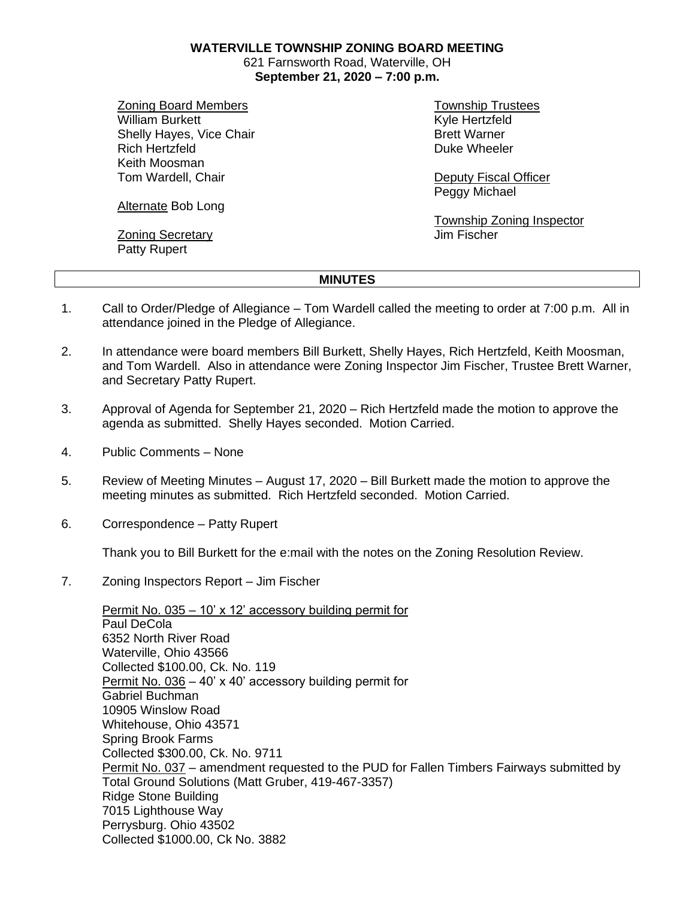**WATERVILLE TOWNSHIP ZONING BOARD MEETING**

621 Farnsworth Road, Waterville, OH **September 21, 2020 – 7:00 p.m.**

Zoning Board Members William Burkett Shelly Hayes, Vice Chair Rich Hertzfeld Keith Moosman Tom Wardell, Chair

Township Trustees Kyle Hertzfeld Brett Warner Duke Wheeler

Deputy Fiscal Officer Peggy Michael

Township Zoning Inspector Jim Fischer

## Alternate Bob Long

Zoning Secretary Patty Rupert

## **MINUTES**

- 1. Call to Order/Pledge of Allegiance Tom Wardell called the meeting to order at 7:00 p.m. All in attendance joined in the Pledge of Allegiance.
- 2. In attendance were board members Bill Burkett, Shelly Hayes, Rich Hertzfeld, Keith Moosman, and Tom Wardell. Also in attendance were Zoning Inspector Jim Fischer, Trustee Brett Warner, and Secretary Patty Rupert.
- 3. Approval of Agenda for September 21, 2020 Rich Hertzfeld made the motion to approve the agenda as submitted. Shelly Hayes seconded. Motion Carried.
- 4. Public Comments None
- 5. Review of Meeting Minutes August 17, 2020 Bill Burkett made the motion to approve the meeting minutes as submitted. Rich Hertzfeld seconded. Motion Carried.
- 6. Correspondence Patty Rupert

Thank you to Bill Burkett for the e:mail with the notes on the Zoning Resolution Review.

7. Zoning Inspectors Report – Jim Fischer

Permit No. 035 – 10' x 12' accessory building permit for Paul DeCola 6352 North River Road Waterville, Ohio 43566 Collected \$100.00, Ck. No. 119 Permit No. 036 – 40' x 40' accessory building permit for Gabriel Buchman 10905 Winslow Road Whitehouse, Ohio 43571 Spring Brook Farms Collected \$300.00, Ck. No. 9711 Permit No. 037 – amendment requested to the PUD for Fallen Timbers Fairways submitted by Total Ground Solutions (Matt Gruber, 419-467-3357) Ridge Stone Building 7015 Lighthouse Way Perrysburg. Ohio 43502 Collected \$1000.00, Ck No. 3882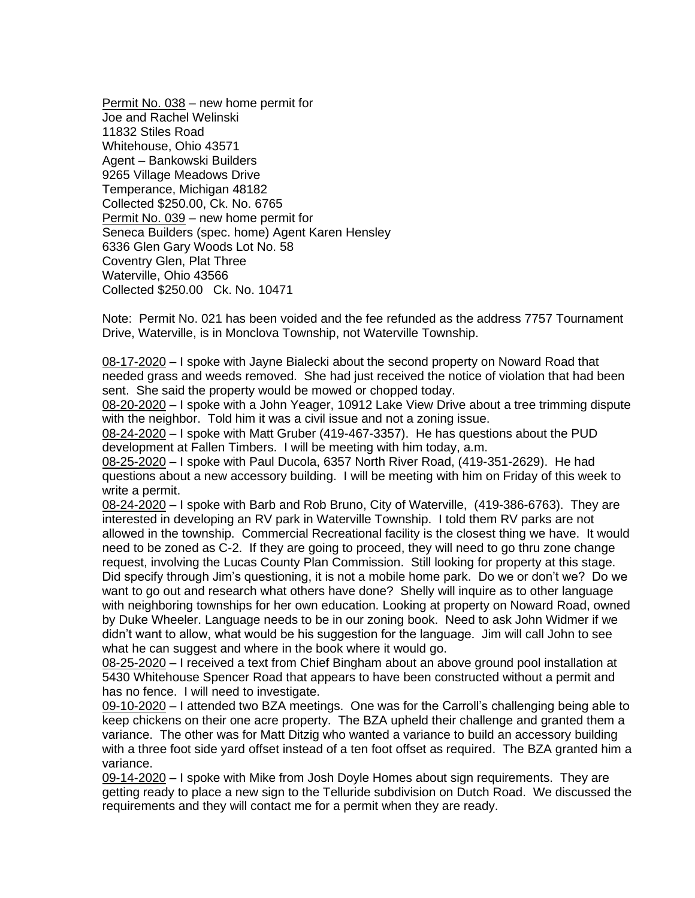Permit No. 038 – new home permit for Joe and Rachel Welinski 11832 Stiles Road Whitehouse, Ohio 43571 Agent – Bankowski Builders 9265 Village Meadows Drive Temperance, Michigan 48182 Collected \$250.00, Ck. No. 6765 Permit No. 039 – new home permit for Seneca Builders (spec. home) Agent Karen Hensley 6336 Glen Gary Woods Lot No. 58 Coventry Glen, Plat Three Waterville, Ohio 43566 Collected \$250.00 Ck. No. 10471

Note: Permit No. 021 has been voided and the fee refunded as the address 7757 Tournament Drive, Waterville, is in Monclova Township, not Waterville Township.

08-17-2020 – I spoke with Jayne Bialecki about the second property on Noward Road that needed grass and weeds removed. She had just received the notice of violation that had been sent. She said the property would be mowed or chopped today.

08-20-2020 – I spoke with a John Yeager, 10912 Lake View Drive about a tree trimming dispute with the neighbor. Told him it was a civil issue and not a zoning issue.

08-24-2020 – I spoke with Matt Gruber (419-467-3357). He has questions about the PUD development at Fallen Timbers. I will be meeting with him today, a.m.

08-25-2020 – I spoke with Paul Ducola, 6357 North River Road, (419-351-2629). He had questions about a new accessory building. I will be meeting with him on Friday of this week to write a permit.

08-24-2020 – I spoke with Barb and Rob Bruno, City of Waterville, (419-386-6763). They are interested in developing an RV park in Waterville Township. I told them RV parks are not allowed in the township. Commercial Recreational facility is the closest thing we have. It would need to be zoned as C-2. If they are going to proceed, they will need to go thru zone change request, involving the Lucas County Plan Commission. Still looking for property at this stage. Did specify through Jim's questioning, it is not a mobile home park. Do we or don't we? Do we want to go out and research what others have done? Shelly will inquire as to other language with neighboring townships for her own education. Looking at property on Noward Road, owned by Duke Wheeler. Language needs to be in our zoning book. Need to ask John Widmer if we didn't want to allow, what would be his suggestion for the language. Jim will call John to see what he can suggest and where in the book where it would go.

08-25-2020 – I received a text from Chief Bingham about an above ground pool installation at 5430 Whitehouse Spencer Road that appears to have been constructed without a permit and has no fence. I will need to investigate.

09-10-2020 – I attended two BZA meetings. One was for the Carroll's challenging being able to keep chickens on their one acre property. The BZA upheld their challenge and granted them a variance. The other was for Matt Ditzig who wanted a variance to build an accessory building with a three foot side yard offset instead of a ten foot offset as required. The BZA granted him a variance.

09-14-2020 – I spoke with Mike from Josh Doyle Homes about sign requirements. They are getting ready to place a new sign to the Telluride subdivision on Dutch Road. We discussed the requirements and they will contact me for a permit when they are ready.